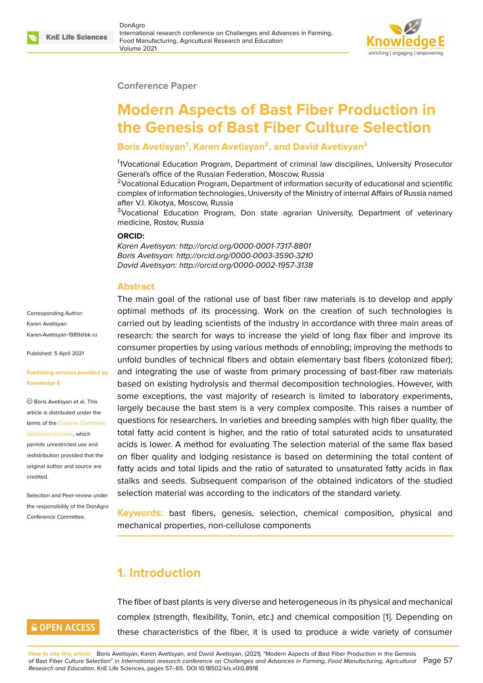

#### **Conference Paper**

# **Modern Aspects of Bast Fiber Production in the Genesis of Bast Fiber Culture Selection**

### **Boris Avetisyan<sup>1</sup> , Karen Avetisyan<sup>2</sup> , and David Avetisyan<sup>3</sup>**

<sup>1</sup>1Vocational Education Program, Department of criminal law disciplines, University Prosecutor General's office of the Russian Federation, Moscow, Russia

 $2$ Vocational Education Program, Department of information security of educational and scientific complex of information technologies, University of the Ministry of internal Affairs of Russia named after V.I. Kikotya, Moscow, Russia

<sup>3</sup>Vocational Education Program, Don state agrarian University, Department of veterinary medicine, Rostov, Russia

#### **ORCID:**

*Karen Avetisyan: http://orcid.org/0000-0001-7317-8801 Boris Avetisyan: http://orcid.org/0000-0003-3590-3210 David Avetisyan: http://orcid.org/0000-0002-1957-3138*

#### **Abstract**

Corresponding Author: Karen Avetisyan Karen-Avetisyan-1989@bk.ru

Published: 5 April 2021

#### **[Publishing services provided](mailto:Karen-Avetisyan-1989@bk.ru) by Knowledge E**

Boris Avetisyan et al. This article is distributed under the terms of the Creative Commons Attribution License, which

permits unrestricted use and redistribution provided that the original auth[or and source are](https://creativecommons.org/licenses/by/4.0/) [credited.](https://creativecommons.org/licenses/by/4.0/)

Selection and Peer-review under the responsibility of the DonAgro Conference Committee.

The main goal of the rational use of bast fiber raw materials is to develop and apply optimal methods of its processing. Work on the creation of such technologies is carried out by leading scientists of the industry in accordance with three main areas of research: the search for ways to increase the yield of long flax fiber and improve its consumer properties by using various methods of ennobling; improving the methods to unfold bundles of technical fibers and obtain elementary bast fibers (cotonized fiber); and integrating the use of waste from primary processing of bast-fiber raw materials based on existing hydrolysis and thermal decomposition technologies. However, with some exceptions, the vast majority of research is limited to laboratory experiments, largely because the bast stem is a very complex composite. This raises a number of questions for researchers. In varieties and breeding samples with high fiber quality, the total fatty acid content is higher, and the ratio of total saturated acids to unsaturated acids is lower. A method for evaluating The selection material of the same flax based on fiber quality and lodging resistance is based on determining the total content of fatty acids and total lipids and the ratio of saturated to unsaturated fatty acids in flax stalks and seeds. Subsequent comparison of the obtained indicators of the studied selection material was according to the indicators of the standard variety.

**Keywords:** bast fibers, genesis, selection, chemical composition, physical and mechanical properties, non-cellulose components

# **1. Introduction**

# **GOPEN ACCESS**

The fiber of bast plants is very diverse and heterogeneous in its physical and mechanical complex (strength, flexibility, Tonin, etc.) and chemical composition [1]. Depending on these characteristics of the fiber, it is used to produce a wide variety of consumer

**How to cite this article**: Boris Avetisyan, Karen Avetisyan, and David Avetisyan, (2021), "Modern Aspects of Bast Fiber Production in the Genesis of Bast Fiber Culture Selection" in *International research conference on Challenges and Advances in Farming, Food Manufacturing, [A](#page-8-0)gricultural* Page 57 *Research and Education*, KnE Life Sciences, pages 57–65. DOI 10.18502/kls.v0i0.8918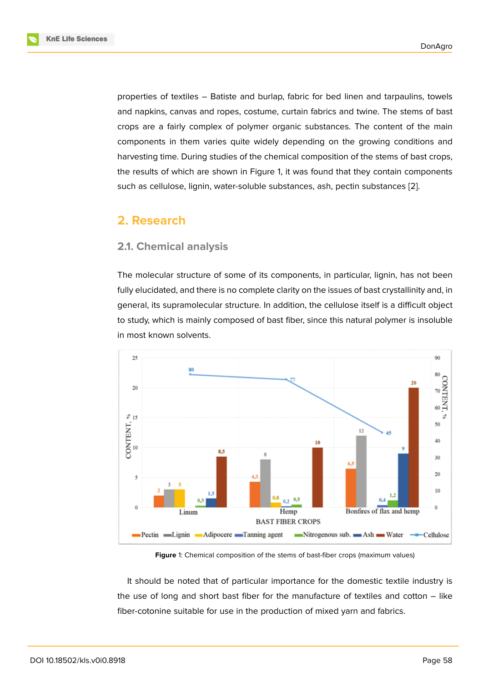properties of textiles – Batiste and burlap, fabric for bed linen and tarpaulins, towels and napkins, canvas and ropes, costume, curtain fabrics and twine. The stems of bast crops are a fairly complex of polymer organic substances. The content of the main components in them varies quite widely depending on the growing conditions and harvesting time. During studies of the chemical composition of the stems of bast crops, the results of which are shown in Figure 1, it was found that they contain components such as cellulose, lignin, water-soluble substances, ash, pectin substances [2].

# **2. Research**

### **2.1. Chemical analysis**

The molecular structure of some of its components, in particular, lignin, has not been fully elucidated, and there is no complete clarity on the issues of bast crystallinity and, in general, its supramolecular structure. In addition, the cellulose itself is a difficult object to study, which is mainly composed of bast fiber, since this natural polymer is insoluble in most known solvents.



**Figure** 1: Chemical composition of the stems of bast-fiber crops (maximum values)

It should be noted that of particular importance for the domestic textile industry is the use of long and short bast fiber for the manufacture of textiles and cotton – like fiber-cotonine suitable for use in the production of mixed yarn and fabrics.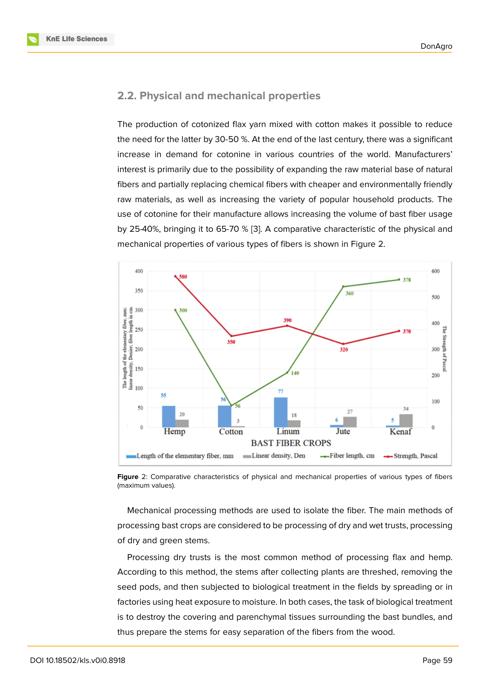### **2.2. Physical and mechanical properties**

The production of cotonized flax yarn mixed with cotton makes it possible to reduce the need for the latter by 30-50 %. At the end of the last century, there was a significant increase in demand for cotonine in various countries of the world. Manufacturers' interest is primarily due to the possibility of expanding the raw material base of natural fibers and partially replacing chemical fibers with cheaper and environmentally friendly raw materials, as well as increasing the variety of popular household products. The use of cotonine for their manufacture allows increasing the volume of bast fiber usage by 25-40%, bringing it to 65-70 % [3]. A comparative characteristic of the physical and mechanical properties of various types of fibers is shown in Figure 2.



**Figure** 2: Comparative characteristics of physical and mechanical properties of various types of fibers (maximum values).

Mechanical processing methods are used to isolate the fiber. The main methods of processing bast crops are considered to be processing of dry and wet trusts, processing of dry and green stems.

Processing dry trusts is the most common method of processing flax and hemp. According to this method, the stems after collecting plants are threshed, removing the seed pods, and then subjected to biological treatment in the fields by spreading or in factories using heat exposure to moisture. In both cases, the task of biological treatment is to destroy the covering and parenchymal tissues surrounding the bast bundles, and thus prepare the stems for easy separation of the fibers from the wood.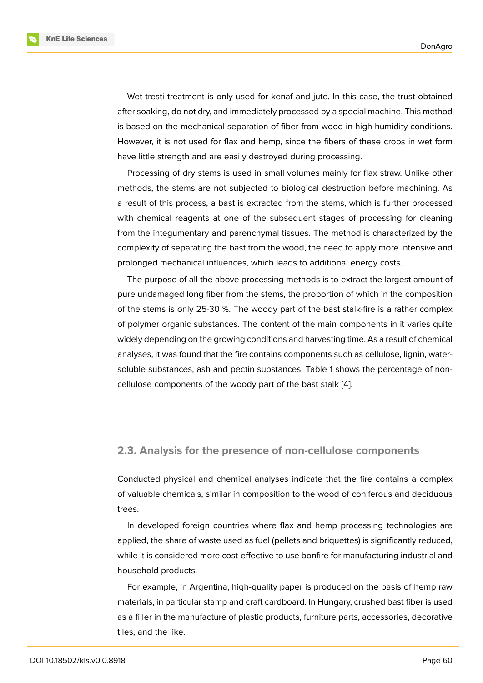Wet tresti treatment is only used for kenaf and jute. In this case, the trust obtained after soaking, do not dry, and immediately processed by a special machine. This method is based on the mechanical separation of fiber from wood in high humidity conditions. However, it is not used for flax and hemp, since the fibers of these crops in wet form have little strength and are easily destroyed during processing.

Processing of dry stems is used in small volumes mainly for flax straw. Unlike other methods, the stems are not subjected to biological destruction before machining. As a result of this process, a bast is extracted from the stems, which is further processed with chemical reagents at one of the subsequent stages of processing for cleaning from the integumentary and parenchymal tissues. The method is characterized by the complexity of separating the bast from the wood, the need to apply more intensive and prolonged mechanical influences, which leads to additional energy costs.

The purpose of all the above processing methods is to extract the largest amount of pure undamaged long fiber from the stems, the proportion of which in the composition of the stems is only 25-30 %. The woody part of the bast stalk-fire is a rather complex of polymer organic substances. The content of the main components in it varies quite widely depending on the growing conditions and harvesting time. As a result of chemical analyses, it was found that the fire contains components such as cellulose, lignin, watersoluble substances, ash and pectin substances. Table 1 shows the percentage of noncellulose components of the woody part of the bast stalk [4].

#### **2.3. Analysis for the presence of non-cellulose components**

Conducted physical and chemical analyses indicate that the fire contains a complex of valuable chemicals, similar in composition to the wood of coniferous and deciduous trees.

In developed foreign countries where flax and hemp processing technologies are applied, the share of waste used as fuel (pellets and briquettes) is significantly reduced, while it is considered more cost-effective to use bonfire for manufacturing industrial and household products.

For example, in Argentina, high-quality paper is produced on the basis of hemp raw materials, in particular stamp and craft cardboard. In Hungary, crushed bast fiber is used as a filler in the manufacture of plastic products, furniture parts, accessories, decorative tiles, and the like.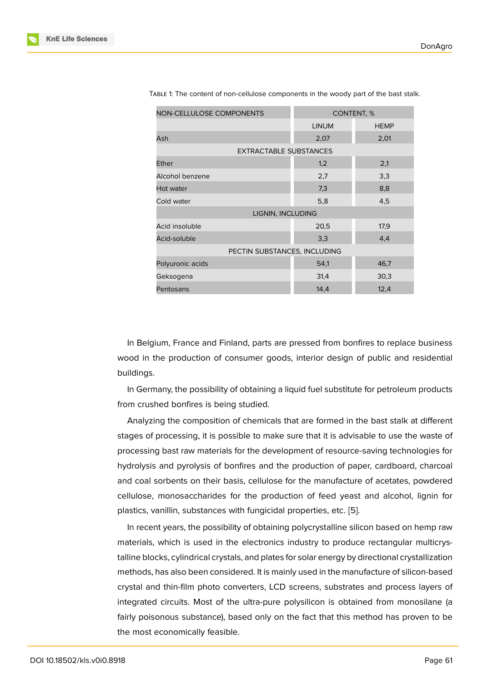| <b>NON-CELLULOSE COMPONENTS</b> | CONTENT, %   |             |
|---------------------------------|--------------|-------------|
|                                 | <b>LINUM</b> | <b>HEMP</b> |
| Ash                             | 2,07         | 2,01        |
| EXTRACTABLE SUBSTANCES          |              |             |
| Ether                           | 1,2          | 2,1         |
| Alcohol benzene                 | 2,7          | 3,3         |
| Hot water                       | 7,3          | 8,8         |
| Cold water                      | 5,8          | 4,5         |
| LIGNIN, INCLUDING               |              |             |
| Acid insoluble                  | 20,5         | 17,9        |
| Acid-soluble                    | 3,3          | 4.4         |
| PECTIN SUBSTANCES, INCLUDING    |              |             |
| Polyuronic acids                | 54,1         | 46,7        |
| Geksogena                       | 31,4         | 30,3        |
| Pentosans                       | 14,4         | 12,4        |

TABLE 1: The content of non-cellulose components in the woody part of the bast stalk.

In Belgium, France and Finland, parts are pressed from bonfires to replace business wood in the production of consumer goods, interior design of public and residential buildings.

In Germany, the possibility of obtaining a liquid fuel substitute for petroleum products from crushed bonfires is being studied.

Analyzing the composition of chemicals that are formed in the bast stalk at different stages of processing, it is possible to make sure that it is advisable to use the waste of processing bast raw materials for the development of resource-saving technologies for hydrolysis and pyrolysis of bonfires and the production of paper, cardboard, charcoal and coal sorbents on their basis, cellulose for the manufacture of acetates, powdered cellulose, monosaccharides for the production of feed yeast and alcohol, lignin for plastics, vanillin, substances with fungicidal properties, etc. [5].

In recent years, the possibility of obtaining polycrystalline silicon based on hemp raw materials, which is used in the electronics industry to produce rectangular multicrystalline blocks, cylindrical crystals, and plates for solar energy [by](#page-8-1) directional crystallization methods, has also been considered. It is mainly used in the manufacture of silicon-based crystal and thin-film photo converters, LCD screens, substrates and process layers of integrated circuits. Most of the ultra-pure polysilicon is obtained from monosilane (a fairly poisonous substance), based only on the fact that this method has proven to be the most economically feasible.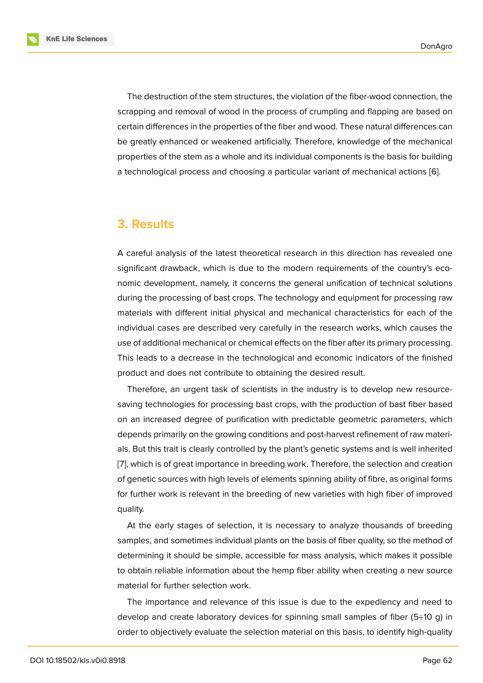The destruction of the stem structures, the violation of the fiber-wood connection, the scrapping and removal of wood in the process of crumpling and flapping are based on certain differences in the properties of the fiber and wood. These natural differences can be greatly enhanced or weakened artificially. Therefore, knowledge of the mechanical properties of the stem as a whole and its individual components is the basis for building a technological process and choosing a particular variant of mechanical actions [6].

# **3. Results**

A careful analysis of the latest theoretical research in this direction has revealed one significant drawback, which is due to the modern requirements of the country's economic development, namely, it concerns the general unification of technical solutions during the processing of bast crops. The technology and equipment for processing raw materials with different initial physical and mechanical characteristics for each of the individual cases are described very carefully in the research works, which causes the use of additional mechanical or chemical effects on the fiber after its primary processing. This leads to a decrease in the technological and economic indicators of the finished product and does not contribute to obtaining the desired result.

Therefore, an urgent task of scientists in the industry is to develop new resourcesaving technologies for processing bast crops, with the production of bast fiber based on an increased degree of purification with predictable geometric parameters, which depends primarily on the growing conditions and post-harvest refinement of raw materials. But this trait is clearly controlled by the plant's genetic systems and is well inherited [7], which is of great importance in breeding work. Therefore, the selection and creation of genetic sources with high levels of elements spinning ability of fibre, as original forms for further work is relevant in the breeding of new varieties with high fiber of improved [qu](#page-8-2)ality.

At the early stages of selection, it is necessary to analyze thousands of breeding samples, and sometimes individual plants on the basis of fiber quality, so the method of determining it should be simple, accessible for mass analysis, which makes it possible to obtain reliable information about the hemp fiber ability when creating a new source material for further selection work.

The importance and relevance of this issue is due to the expediency and need to develop and create laboratory devices for spinning small samples of fiber (5÷10 g) in order to objectively evaluate the selection material on this basis, to identify high-quality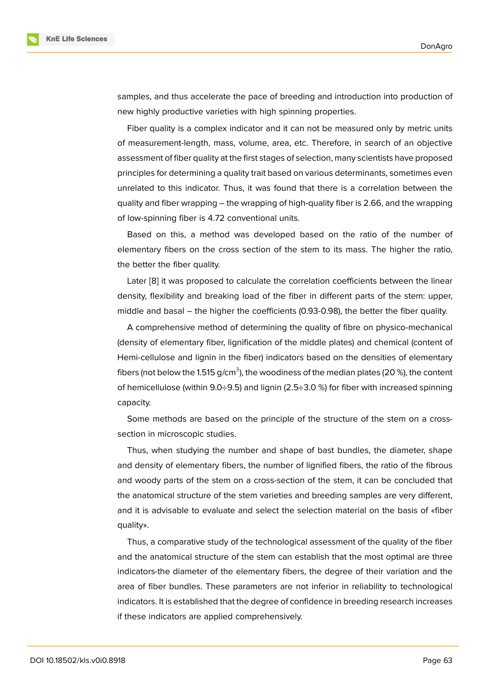samples, and thus accelerate the pace of breeding and introduction into production of new highly productive varieties with high spinning properties.

Fiber quality is a complex indicator and it can not be measured only by metric units of measurement-length, mass, volume, area, etc. Therefore, in search of an objective assessment of fiber quality at the first stages of selection, many scientists have proposed principles for determining a quality trait based on various determinants, sometimes even unrelated to this indicator. Thus, it was found that there is a correlation between the quality and fiber wrapping – the wrapping of high-quality fiber is 2.66, and the wrapping of low-spinning fiber is 4.72 conventional units.

Based on this, a method was developed based on the ratio of the number of elementary fibers on the cross section of the stem to its mass. The higher the ratio, the better the fiber quality.

Later [8] it was proposed to calculate the correlation coefficients between the linear density, flexibility and breaking load of the fiber in different parts of the stem: upper, middle and basal – the higher the coefficients (0.93-0.98), the better the fiber quality.

A co[mp](#page-8-3)rehensive method of determining the quality of fibre on physico-mechanical (density of elementary fiber, lignification of the middle plates) and chemical (content of Hemi-cellulose and lignin in the fiber) indicators based on the densities of elementary fibers (not below the 1.515 g/cm $^3$ ), the woodiness of the median plates (20 %), the content of hemicellulose (within 9.0÷9.5) and lignin (2.5÷3.0 %) for fiber with increased spinning capacity.

Some methods are based on the principle of the structure of the stem on a crosssection in microscopic studies.

Thus, when studying the number and shape of bast bundles, the diameter, shape and density of elementary fibers, the number of lignified fibers, the ratio of the fibrous and woody parts of the stem on a cross-section of the stem, it can be concluded that the anatomical structure of the stem varieties and breeding samples are very different, and it is advisable to evaluate and select the selection material on the basis of «fiber quality».

Thus, a comparative study of the technological assessment of the quality of the fiber and the anatomical structure of the stem can establish that the most optimal are three indicators-the diameter of the elementary fibers, the degree of their variation and the area of fiber bundles. These parameters are not inferior in reliability to technological indicators. It is established that the degree of confidence in breeding research increases if these indicators are applied comprehensively.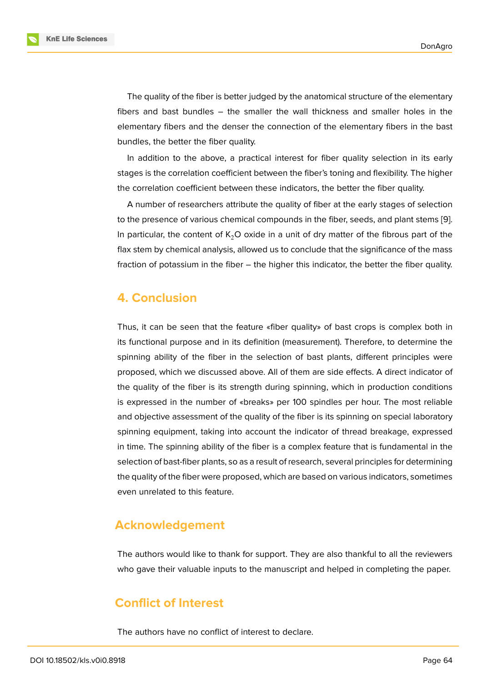The quality of the fiber is better judged by the anatomical structure of the elementary fibers and bast bundles – the smaller the wall thickness and smaller holes in the elementary fibers and the denser the connection of the elementary fibers in the bast bundles, the better the fiber quality.

In addition to the above, a practical interest for fiber quality selection in its early stages is the correlation coefficient between the fiber's toning and flexibility. The higher the correlation coefficient between these indicators, the better the fiber quality.

A number of researchers attribute the quality of fiber at the early stages of selection to the presence of various chemical compounds in the fiber, seeds, and plant stems [9]. In particular, the content of  $K<sub>2</sub>O$  oxide in a unit of dry matter of the fibrous part of the flax stem by chemical analysis, allowed us to conclude that the significance of the mass fraction of potassium in the fiber – the higher this indicator, the better the fiber qual[ity](#page-8-4).

### **4. Conclusion**

Thus, it can be seen that the feature «fiber quality» of bast crops is complex both in its functional purpose and in its definition (measurement). Therefore, to determine the spinning ability of the fiber in the selection of bast plants, different principles were proposed, which we discussed above. All of them are side effects. A direct indicator of the quality of the fiber is its strength during spinning, which in production conditions is expressed in the number of «breaks» per 100 spindles per hour. The most reliable and objective assessment of the quality of the fiber is its spinning on special laboratory spinning equipment, taking into account the indicator of thread breakage, expressed in time. The spinning ability of the fiber is a complex feature that is fundamental in the selection of bast-fiber plants, so as a result of research, several principles for determining the quality of the fiber were proposed, which are based on various indicators, sometimes even unrelated to this feature.

# **Acknowledgement**

The authors would like to thank for support. They are also thankful to all the reviewers who gave their valuable inputs to the manuscript and helped in completing the paper.

# **Conflict of Interest**

The authors have no conflict of interest to declare.